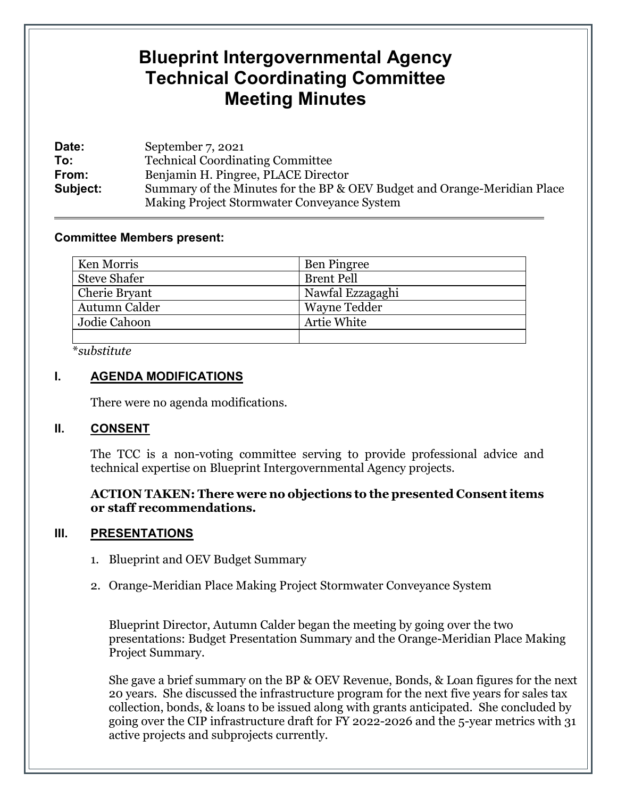# **Blueprint Intergovernmental Agency Technical Coordinating Committee Meeting Minutes**

| Date:    | September 7, 2021                                                                                                       |  |
|----------|-------------------------------------------------------------------------------------------------------------------------|--|
| To:      | <b>Technical Coordinating Committee</b>                                                                                 |  |
| From:    | Benjamin H. Pingree, PLACE Director                                                                                     |  |
| Subject: | Summary of the Minutes for the BP & OEV Budget and Orange-Meridian Place<br>Making Project Stormwater Conveyance System |  |

#### **Committee Members present:**

| Ken Morris          | <b>Ben Pingree</b>  |
|---------------------|---------------------|
| <b>Steve Shafer</b> | <b>Brent Pell</b>   |
| Cherie Bryant       | Nawfal Ezzagaghi    |
| Autumn Calder       | <b>Wayne Tedder</b> |
| Jodie Cahoon        | Artie White         |
|                     |                     |

\**substitute*

### **I. AGENDA MODIFICATIONS**

There were no agenda modifications.

#### **II. CONSENT**

The TCC is a non-voting committee serving to provide professional advice and technical expertise on Blueprint Intergovernmental Agency projects.

#### **ACTION TAKEN: There were no objections to the presented Consent items or staff recommendations.**

#### **III. PRESENTATIONS**

- 1. Blueprint and OEV Budget Summary
- 2. Orange-Meridian Place Making Project Stormwater Conveyance System

Blueprint Director, Autumn Calder began the meeting by going over the two presentations: Budget Presentation Summary and the Orange-Meridian Place Making Project Summary.

She gave a brief summary on the BP & OEV Revenue, Bonds, & Loan figures for the next 20 years. She discussed the infrastructure program for the next five years for sales tax collection, bonds, & loans to be issued along with grants anticipated. She concluded by going over the CIP infrastructure draft for FY 2022-2026 and the 5-year metrics with 31 active projects and subprojects currently.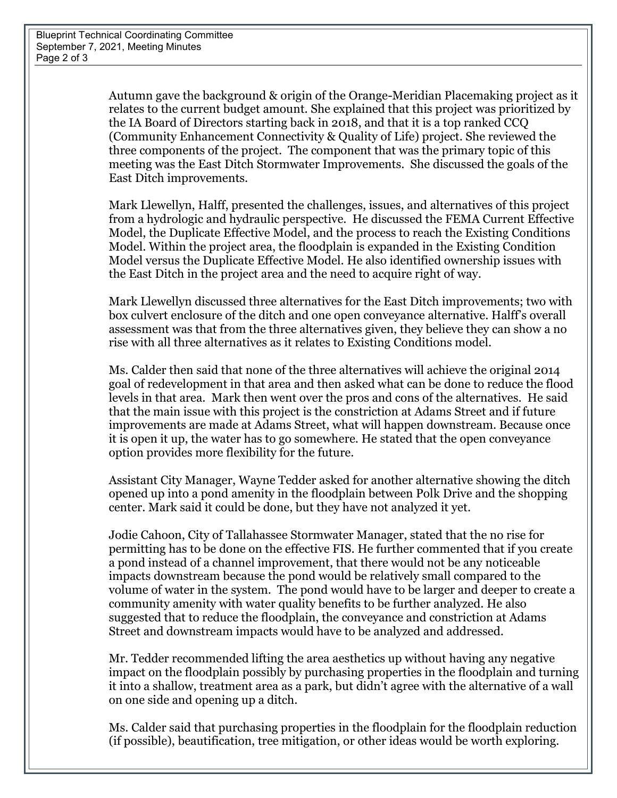Autumn gave the background & origin of the Orange-Meridian Placemaking project as it relates to the current budget amount. She explained that this project was prioritized by the IA Board of Directors starting back in 2018, and that it is a top ranked CCQ (Community Enhancement Connectivity & Quality of Life) project. She reviewed the three components of the project. The component that was the primary topic of this meeting was the East Ditch Stormwater Improvements. She discussed the goals of the East Ditch improvements.

Mark Llewellyn, Halff, presented the challenges, issues, and alternatives of this project from a hydrologic and hydraulic perspective. He discussed the FEMA Current Effective Model, the Duplicate Effective Model, and the process to reach the Existing Conditions Model. Within the project area, the floodplain is expanded in the Existing Condition Model versus the Duplicate Effective Model. He also identified ownership issues with the East Ditch in the project area and the need to acquire right of way.

Mark Llewellyn discussed three alternatives for the East Ditch improvements; two with box culvert enclosure of the ditch and one open conveyance alternative. Halff's overall assessment was that from the three alternatives given, they believe they can show a no rise with all three alternatives as it relates to Existing Conditions model.

Ms. Calder then said that none of the three alternatives will achieve the original 2014 goal of redevelopment in that area and then asked what can be done to reduce the flood levels in that area. Mark then went over the pros and cons of the alternatives. He said that the main issue with this project is the constriction at Adams Street and if future improvements are made at Adams Street, what will happen downstream. Because once it is open it up, the water has to go somewhere. He stated that the open conveyance option provides more flexibility for the future.

Assistant City Manager, Wayne Tedder asked for another alternative showing the ditch opened up into a pond amenity in the floodplain between Polk Drive and the shopping center. Mark said it could be done, but they have not analyzed it yet.

Jodie Cahoon, City of Tallahassee Stormwater Manager, stated that the no rise for permitting has to be done on the effective FIS. He further commented that if you create a pond instead of a channel improvement, that there would not be any noticeable impacts downstream because the pond would be relatively small compared to the volume of water in the system. The pond would have to be larger and deeper to create a community amenity with water quality benefits to be further analyzed. He also suggested that to reduce the floodplain, the conveyance and constriction at Adams Street and downstream impacts would have to be analyzed and addressed.

Mr. Tedder recommended lifting the area aesthetics up without having any negative impact on the floodplain possibly by purchasing properties in the floodplain and turning it into a shallow, treatment area as a park, but didn't agree with the alternative of a wall on one side and opening up a ditch.

Ms. Calder said that purchasing properties in the floodplain for the floodplain reduction (if possible), beautification, tree mitigation, or other ideas would be worth exploring.